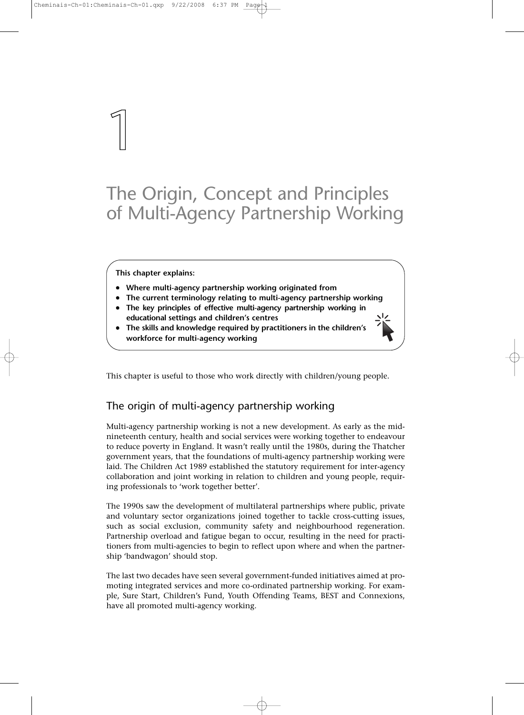1

# The Origin, Concept and Principles of Multi-Agency Partnership Working

#### **This chapter explains:**

- **Where multi-agency partnership working originated from**
- **The current terminology relating to multi-agency partnership working**
- **The key principles of effective multi-agency partnership working in educational settings and children's centres**
- **The skills and knowledge required by practitioners in the children's workforce for multi-agency working**

This chapter is useful to those who work directly with children/young people.

## The origin of multi-agency partnership working

Multi-agency partnership working is not a new development. As early as the midnineteenth century, health and social services were working together to endeavour to reduce poverty in England. It wasn't really until the 1980s, during the Thatcher government years, that the foundations of multi-agency partnership working were laid. The Children Act 1989 established the statutory requirement for inter-agency collaboration and joint working in relation to children and young people, requiring professionals to 'work together better'.

The 1990s saw the development of multilateral partnerships where public, private and voluntary sector organizations joined together to tackle cross-cutting issues, such as social exclusion, community safety and neighbourhood regeneration. Partnership overload and fatigue began to occur, resulting in the need for practitioners from multi-agencies to begin to reflect upon where and when the partnership 'bandwagon' should stop.

The last two decades have seen several government-funded initiatives aimed at promoting integrated services and more co-ordinated partnership working. For example, Sure Start, Children's Fund, Youth Offending Teams, BEST and Connexions, have all promoted multi-agency working.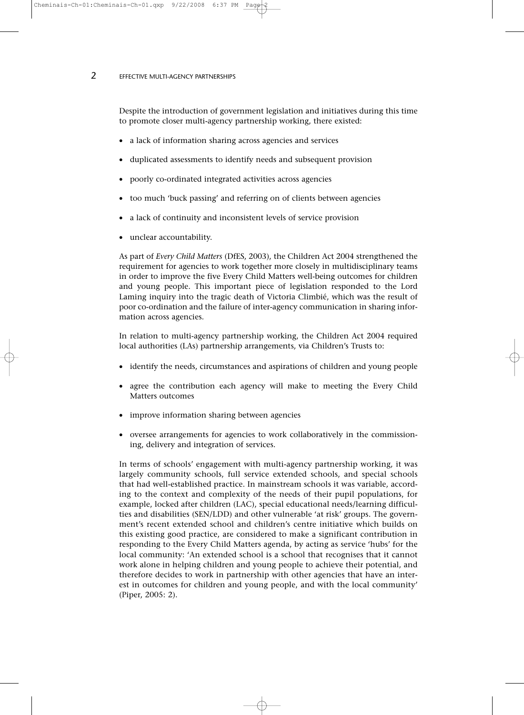Despite the introduction of government legislation and initiatives during this time to promote closer multi-agency partnership working, there existed:

- a lack of information sharing across agencies and services
- duplicated assessments to identify needs and subsequent provision
- poorly co-ordinated integrated activities across agencies
- too much 'buck passing' and referring on of clients between agencies
- a lack of continuity and inconsistent levels of service provision
- unclear accountability.

As part of *Every Child Matters* (DfES, 2003), the Children Act 2004 strengthened the requirement for agencies to work together more closely in multidisciplinary teams in order to improve the five Every Child Matters well-being outcomes for children and young people. This important piece of legislation responded to the Lord Laming inquiry into the tragic death of Victoria Climbié, which was the result of poor co-ordination and the failure of inter-agency communication in sharing information across agencies.

In relation to multi-agency partnership working, the Children Act 2004 required local authorities (LAs) partnership arrangements, via Children's Trusts to:

- identify the needs, circumstances and aspirations of children and young people
- agree the contribution each agency will make to meeting the Every Child Matters outcomes
- improve information sharing between agencies
- oversee arrangements for agencies to work collaboratively in the commissioning, delivery and integration of services.

In terms of schools' engagement with multi-agency partnership working, it was largely community schools, full service extended schools, and special schools that had well-established practice. In mainstream schools it was variable, according to the context and complexity of the needs of their pupil populations, for example, locked after children (LAC), special educational needs/learning difficulties and disabilities (SEN/LDD) and other vulnerable 'at risk' groups. The government's recent extended school and children's centre initiative which builds on this existing good practice, are considered to make a significant contribution in responding to the Every Child Matters agenda, by acting as service 'hubs' for the local community: 'An extended school is a school that recognises that it cannot work alone in helping children and young people to achieve their potential, and therefore decides to work in partnership with other agencies that have an interest in outcomes for children and young people, and with the local community' (Piper, 2005: 2).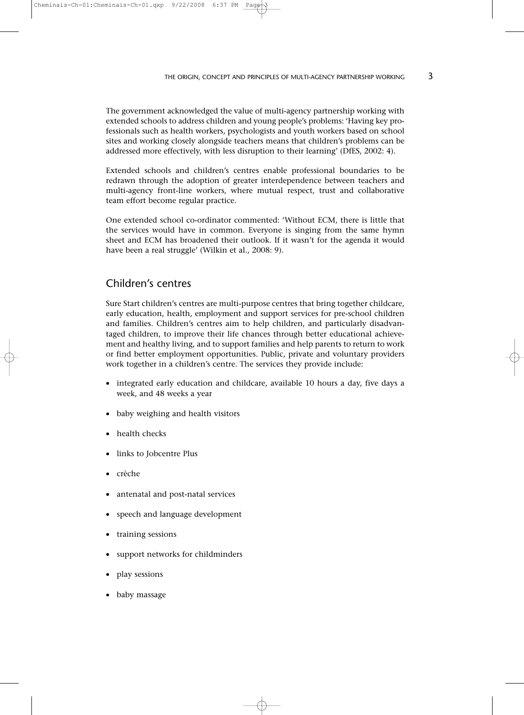The government acknowledged the value of multi-agency partnership working with extended schools to address children and young people's problems: 'Having key professionals such as health workers, psychologists and youth workers based on school sites and working closely alongside teachers means that children's problems can be addressed more effectively, with less disruption to their learning' (DfES, 2002: 4).

Extended schools and children's centres enable professional boundaries to be redrawn through the adoption of greater interdependence between teachers and multi-agency front-line workers, where mutual respect, trust and collaborative team effort become regular practice.

One extended school co-ordinator commented: 'Without ECM, there is little that the services would have in common. Everyone is singing from the same hymn sheet and ECM has broadened their outlook. If it wasn't for the agenda it would have been a real struggle' (Wilkin et al., 2008: 9).

## Children's centres

Sure Start children's centres are multi-purpose centres that bring together childcare, early education, health, employment and support services for pre-school children and families. Children's centres aim to help children, and particularly disadvantaged children, to improve their life chances through better educational achievement and healthy living, and to support families and help parents to return to work or find better employment opportunities. Public, private and voluntary providers work together in a children's centre. The services they provide include:

- integrated early education and childcare, available 10 hours a day, five days a week, and 48 weeks a year
- baby weighing and health visitors
- health checks
- links to Jobcentre Plus
- crèche
- antenatal and post-natal services
- speech and language development
- training sessions
- support networks for childminders
- play sessions
- baby massage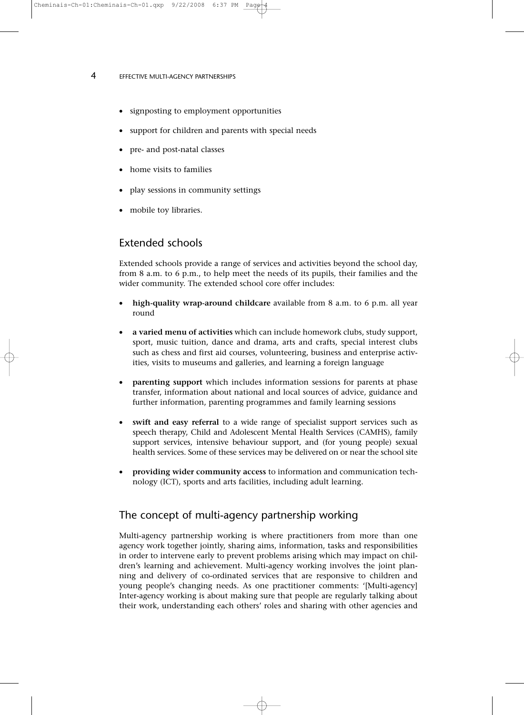- signposting to employment opportunities
- support for children and parents with special needs
- pre- and post-natal classes
- home visits to families
- play sessions in community settings
- mobile toy libraries.

## Extended schools

Extended schools provide a range of services and activities beyond the school day, from 8 a.m. to 6 p.m., to help meet the needs of its pupils, their families and the wider community. The extended school core offer includes:

- **high-quality wrap-around childcare** available from 8 a.m. to 6 p.m. all year round
- **a varied menu of activities** which can include homework clubs, study support, sport, music tuition, dance and drama, arts and crafts, special interest clubs such as chess and first aid courses, volunteering, business and enterprise activities, visits to museums and galleries, and learning a foreign language
- **parenting support** which includes information sessions for parents at phase transfer, information about national and local sources of advice, guidance and further information, parenting programmes and family learning sessions
- **swift and easy referral** to a wide range of specialist support services such as speech therapy, Child and Adolescent Mental Health Services (CAMHS), family support services, intensive behaviour support, and (for young people) sexual health services. Some of these services may be delivered on or near the school site
- **providing wider community access** to information and communication technology (ICT), sports and arts facilities, including adult learning.

## The concept of multi-agency partnership working

Multi-agency partnership working is where practitioners from more than one agency work together jointly, sharing aims, information, tasks and responsibilities in order to intervene early to prevent problems arising which may impact on children's learning and achievement. Multi-agency working involves the joint planning and delivery of co-ordinated services that are responsive to children and young people's changing needs. As one practitioner comments: '[Multi-agency] Inter-agency working is about making sure that people are regularly talking about their work, understanding each others' roles and sharing with other agencies and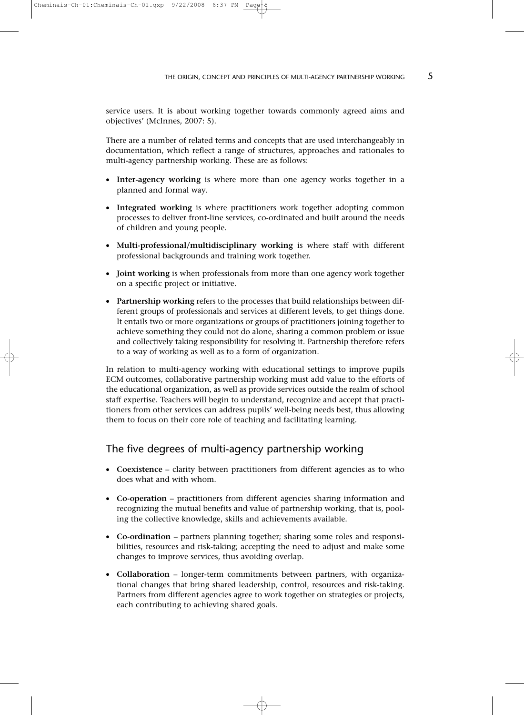$Cheminais-Ch-01:Cheminais-Ch-01.qxp 9/22/2008 6:37 PM$ 

There are a number of related terms and concepts that are used interchangeably in documentation, which reflect a range of structures, approaches and rationales to multi-agency partnership working. These are as follows:

- **Inter-agency working** is where more than one agency works together in a planned and formal way.
- **Integrated working** is where practitioners work together adopting common processes to deliver front-line services, co-ordinated and built around the needs of children and young people.
- **Multi-professional/multidisciplinary working** is where staff with different professional backgrounds and training work together.
- **Joint working** is when professionals from more than one agency work together on a specific project or initiative.
- **Partnership working** refers to the processes that build relationships between different groups of professionals and services at different levels, to get things done. It entails two or more organizations or groups of practitioners joining together to achieve something they could not do alone, sharing a common problem or issue and collectively taking responsibility for resolving it. Partnership therefore refers to a way of working as well as to a form of organization.

In relation to multi-agency working with educational settings to improve pupils ECM outcomes, collaborative partnership working must add value to the efforts of the educational organization, as well as provide services outside the realm of school staff expertise. Teachers will begin to understand, recognize and accept that practitioners from other services can address pupils' well-being needs best, thus allowing them to focus on their core role of teaching and facilitating learning.

### The five degrees of multi-agency partnership working

- **Coexistence** clarity between practitioners from different agencies as to who does what and with whom.
- **Co-operation** practitioners from different agencies sharing information and recognizing the mutual benefits and value of partnership working, that is, pooling the collective knowledge, skills and achievements available.
- **Co-ordination** partners planning together; sharing some roles and responsibilities, resources and risk-taking; accepting the need to adjust and make some changes to improve services, thus avoiding overlap.
- **Collaboration** longer-term commitments between partners, with organizational changes that bring shared leadership, control, resources and risk-taking. Partners from different agencies agree to work together on strategies or projects, each contributing to achieving shared goals.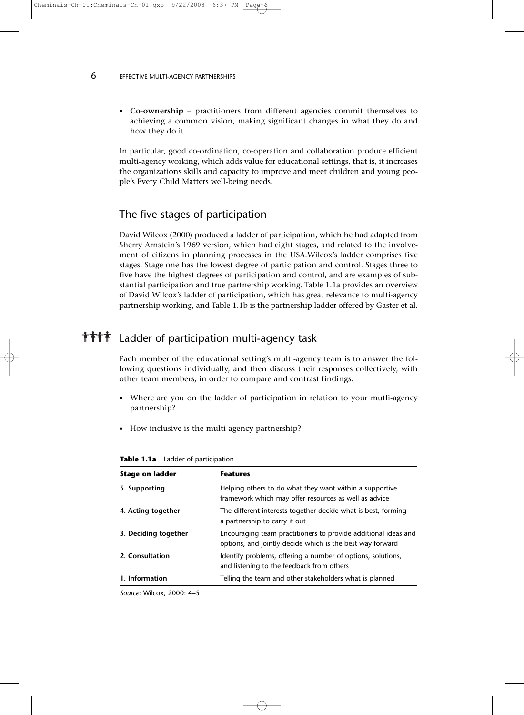- 6 EFFECTIVE MULTI-AGENCY PARTNERSHIPS
	- **Co-ownership** practitioners from different agencies commit themselves to achieving a common vision, making significant changes in what they do and how they do it.

In particular, good co-ordination, co-operation and collaboration produce efficient multi-agency working, which adds value for educational settings, that is, it increases the organizations skills and capacity to improve and meet children and young people's Every Child Matters well-being needs.

## The five stages of participation

David Wilcox (2000) produced a ladder of participation, which he had adapted from Sherry Arnstein's 1969 version, which had eight stages, and related to the involvement of citizens in planning processes in the USA.Wilcox's ladder comprises five stages. Stage one has the lowest degree of participation and control. Stages three to five have the highest degrees of participation and control, and are examples of substantial participation and true partnership working. Table 1.1a provides an overview of David Wilcox's ladder of participation, which has great relevance to multi-agency partnership working, and Table 1.1b is the partnership ladder offered by Gaster et al.

## Ladder of participation multi-agency task

Each member of the educational setting's multi-agency team is to answer the following questions individually, and then discuss their responses collectively, with other team members, in order to compare and contrast findings.

- Where are you on the ladder of participation in relation to your mutli-agency partnership?
- How inclusive is the multi-agency partnership?

| Stage on ladder      | <b>Features</b>                                                                                                             |
|----------------------|-----------------------------------------------------------------------------------------------------------------------------|
| 5. Supporting        | Helping others to do what they want within a supportive<br>framework which may offer resources as well as advice            |
| 4. Acting together   | The different interests together decide what is best, forming<br>a partnership to carry it out                              |
| 3. Deciding together | Encouraging team practitioners to provide additional ideas and<br>options, and jointly decide which is the best way forward |
| 2. Consultation      | Identify problems, offering a number of options, solutions,<br>and listening to the feedback from others                    |
| 1. Information       | Telling the team and other stakeholders what is planned                                                                     |

**Table 1.1a** Ladder of participation

*Source*: Wilcox, 2000: 4–5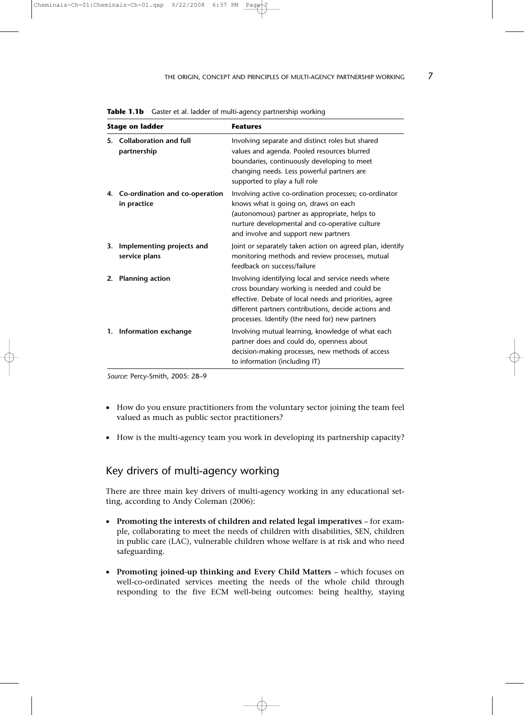| <b>Stage on ladder</b> |                                                  | <b>Features</b>                                                                                                                                                                                                                                                           |  |  |
|------------------------|--------------------------------------------------|---------------------------------------------------------------------------------------------------------------------------------------------------------------------------------------------------------------------------------------------------------------------------|--|--|
| 5.                     | Collaboration and full<br>partnership            | Involving separate and distinct roles but shared<br>values and agenda. Pooled resources blurred<br>boundaries, continuously developing to meet<br>changing needs. Less powerful partners are<br>supported to play a full role                                             |  |  |
|                        | 4. Co-ordination and co-operation<br>in practice | Involving active co-ordination processes; co-ordinator<br>knows what is going on, draws on each<br>(autonomous) partner as appropriate, helps to<br>nurture developmental and co-operative culture<br>and involve and support new partners                                |  |  |
| 3.                     | Implementing projects and<br>service plans       | Joint or separately taken action on agreed plan, identify<br>monitoring methods and review processes, mutual<br>feedback on success/failure                                                                                                                               |  |  |
| 2.                     | <b>Planning action</b>                           | Involving identifying local and service needs where<br>cross boundary working is needed and could be<br>effective. Debate of local needs and priorities, agree<br>different partners contributions, decide actions and<br>processes. Identify (the need for) new partners |  |  |
| 1.                     | Information exchange                             | Involving mutual learning, knowledge of what each<br>partner does and could do, openness about<br>decision-making processes, new methods of access<br>to information (including IT)                                                                                       |  |  |

**Table 1.1b** Gaster et al. ladder of multi-agency partnership working

*Source*: Percy-Smith, 2005: 28–9

- How do you ensure practitioners from the voluntary sector joining the team feel valued as much as public sector practitioners?
- How is the multi-agency team you work in developing its partnership capacity?

## Key drivers of multi-agency working

There are three main key drivers of multi-agency working in any educational setting, according to Andy Coleman (2006):

- **Promoting the interests of children and related legal imperatives** for example, collaborating to meet the needs of children with disabilities, SEN, children in public care (LAC), vulnerable children whose welfare is at risk and who need safeguarding.
- **Promoting joined-up thinking and Every Child Matters** which focuses on well-co-ordinated services meeting the needs of the whole child through responding to the five ECM well-being outcomes: being healthy, staying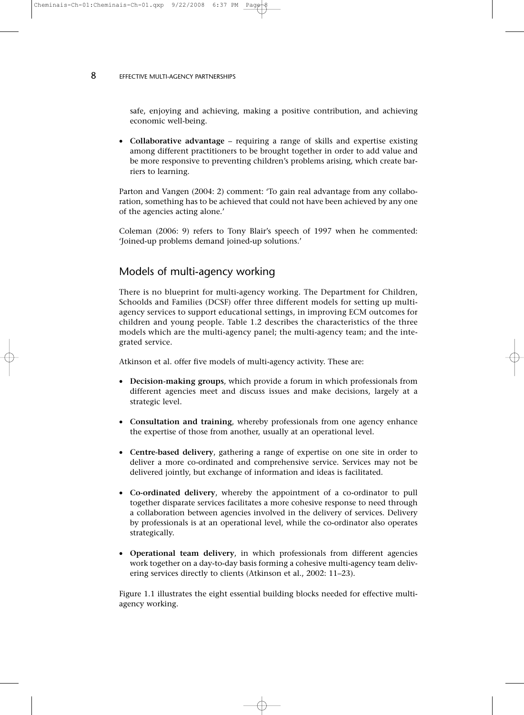safe, enjoying and achieving, making a positive contribution, and achieving economic well-being.

• **Collaborative advantage** – requiring a range of skills and expertise existing among different practitioners to be brought together in order to add value and be more responsive to preventing children's problems arising, which create barriers to learning.

Parton and Vangen (2004: 2) comment: 'To gain real advantage from any collaboration, something has to be achieved that could not have been achieved by any one of the agencies acting alone.'

Coleman (2006: 9) refers to Tony Blair's speech of 1997 when he commented: 'Joined-up problems demand joined-up solutions.'

### Models of multi-agency working

There is no blueprint for multi-agency working. The Department for Children, Schoolds and Families (DCSF) offer three different models for setting up multiagency services to support educational settings, in improving ECM outcomes for children and young people. Table 1.2 describes the characteristics of the three models which are the multi-agency panel; the multi-agency team; and the integrated service.

Atkinson et al. offer five models of multi-agency activity. These are:

- **Decision-making groups**, which provide a forum in which professionals from different agencies meet and discuss issues and make decisions, largely at a strategic level.
- **Consultation and training**, whereby professionals from one agency enhance the expertise of those from another, usually at an operational level.
- **Centre-based delivery**, gathering a range of expertise on one site in order to deliver a more co-ordinated and comprehensive service. Services may not be delivered jointly, but exchange of information and ideas is facilitated.
- **Co-ordinated delivery**, whereby the appointment of a co-ordinator to pull together disparate services facilitates a more cohesive response to need through a collaboration between agencies involved in the delivery of services. Delivery by professionals is at an operational level, while the co-ordinator also operates strategically.
- **Operational team delivery**, in which professionals from different agencies work together on a day-to-day basis forming a cohesive multi-agency team delivering services directly to clients (Atkinson et al., 2002: 11–23).

Figure 1.1 illustrates the eight essential building blocks needed for effective multiagency working.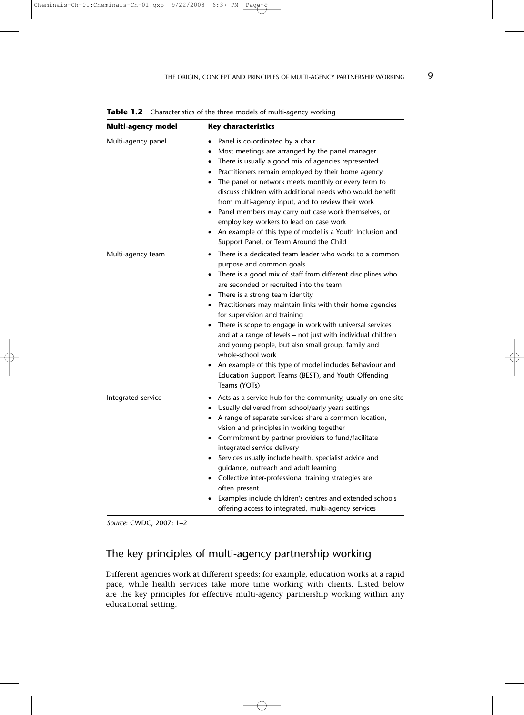| <b>Multi-agency model</b> | <b>Key characteristics</b>                                                                                                                                                                                                                                                                                                                                                                                                                                                                                                                                                                                                                                                                                                             |
|---------------------------|----------------------------------------------------------------------------------------------------------------------------------------------------------------------------------------------------------------------------------------------------------------------------------------------------------------------------------------------------------------------------------------------------------------------------------------------------------------------------------------------------------------------------------------------------------------------------------------------------------------------------------------------------------------------------------------------------------------------------------------|
| Multi-agency panel        | Panel is co-ordinated by a chair<br>$\bullet$<br>Most meetings are arranged by the panel manager<br>$\bullet$<br>There is usually a good mix of agencies represented<br>$\bullet$<br>Practitioners remain employed by their home agency<br>$\bullet$<br>The panel or network meets monthly or every term to<br>$\bullet$<br>discuss children with additional needs who would benefit<br>from multi-agency input, and to review their work<br>Panel members may carry out case work themselves, or<br>employ key workers to lead on case work<br>An example of this type of model is a Youth Inclusion and<br>Support Panel, or Team Around the Child                                                                                   |
| Multi-agency team         | There is a dedicated team leader who works to a common<br>purpose and common goals<br>There is a good mix of staff from different disciplines who<br>$\bullet$<br>are seconded or recruited into the team<br>There is a strong team identity<br>$\bullet$<br>Practitioners may maintain links with their home agencies<br>$\bullet$<br>for supervision and training<br>There is scope to engage in work with universal services<br>$\bullet$<br>and at a range of levels - not just with individual children<br>and young people, but also small group, family and<br>whole-school work<br>An example of this type of model includes Behaviour and<br>$\bullet$<br>Education Support Teams (BEST), and Youth Offending<br>Teams (YOTs) |
| Integrated service        | Acts as a service hub for the community, usually on one site<br>Usually delivered from school/early years settings<br>$\bullet$<br>A range of separate services share a common location,<br>vision and principles in working together<br>Commitment by partner providers to fund/facilitate<br>$\bullet$<br>integrated service delivery<br>Services usually include health, specialist advice and<br>$\bullet$<br>guidance, outreach and adult learning<br>Collective inter-professional training strategies are<br>$\bullet$<br>often present<br>Examples include children's centres and extended schools<br>offering access to integrated, multi-agency services                                                                     |

**Table 1.2** Characteristics of the three models of multi-agency working

*Source*: CWDC, 2007: 1–2

## The key principles of multi-agency partnership working

Different agencies work at different speeds; for example, education works at a rapid pace, while health services take more time working with clients. Listed below are the key principles for effective multi-agency partnership working within any educational setting.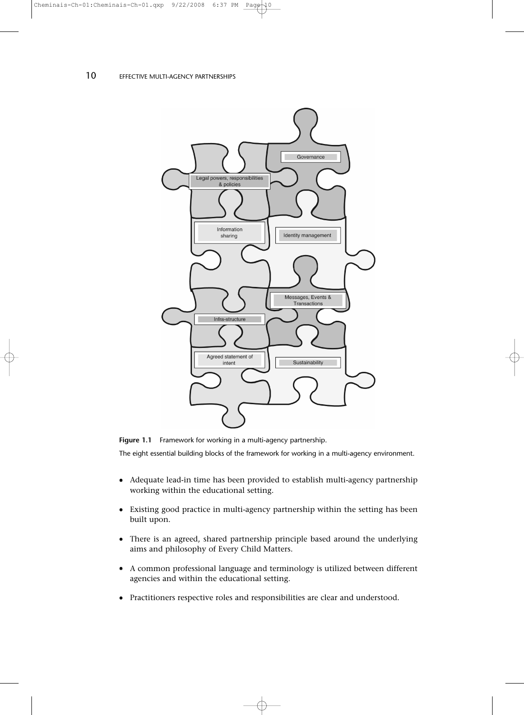

**Figure 1.1** Framework for working in a multi-agency partnership. The eight essential building blocks of the framework for working in a multi-agency environment.

- Adequate lead-in time has been provided to establish multi-agency partnership working within the educational setting.
- Existing good practice in multi-agency partnership within the setting has been built upon.
- There is an agreed, shared partnership principle based around the underlying aims and philosophy of Every Child Matters.
- A common professional language and terminology is utilized between different agencies and within the educational setting.
- Practitioners respective roles and responsibilities are clear and understood.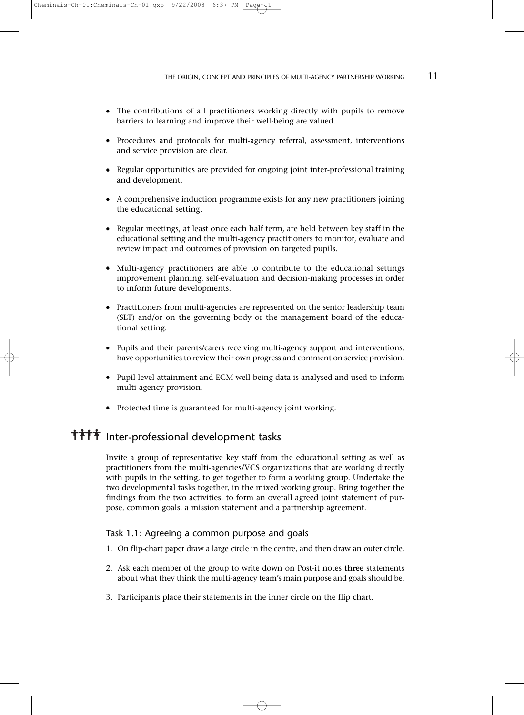- The contributions of all practitioners working directly with pupils to remove barriers to learning and improve their well-being are valued.
- Procedures and protocols for multi-agency referral, assessment, interventions and service provision are clear.
- Regular opportunities are provided for ongoing joint inter-professional training and development.
- A comprehensive induction programme exists for any new practitioners joining the educational setting.
- Regular meetings, at least once each half term, are held between key staff in the educational setting and the multi-agency practitioners to monitor, evaluate and review impact and outcomes of provision on targeted pupils.
- Multi-agency practitioners are able to contribute to the educational settings improvement planning, self-evaluation and decision-making processes in order to inform future developments.
- Practitioners from multi-agencies are represented on the senior leadership team (SLT) and/or on the governing body or the management board of the educational setting.
- Pupils and their parents/carers receiving multi-agency support and interventions, have opportunities to review their own progress and comment on service provision.
- Pupil level attainment and ECM well-being data is analysed and used to inform multi-agency provision.
- Protected time is guaranteed for multi-agency joint working.

## Inter-professional development tasks

Invite a group of representative key staff from the educational setting as well as practitioners from the multi-agencies/VCS organizations that are working directly with pupils in the setting, to get together to form a working group. Undertake the two developmental tasks together, in the mixed working group. Bring together the findings from the two activities, to form an overall agreed joint statement of purpose, common goals, a mission statement and a partnership agreement.

#### Task 1.1: Agreeing a common purpose and goals

- 1. On flip-chart paper draw a large circle in the centre, and then draw an outer circle.
- 2. Ask each member of the group to write down on Post-it notes **three** statements about what they think the multi-agency team's main purpose and goals should be.
- 3. Participants place their statements in the inner circle on the flip chart.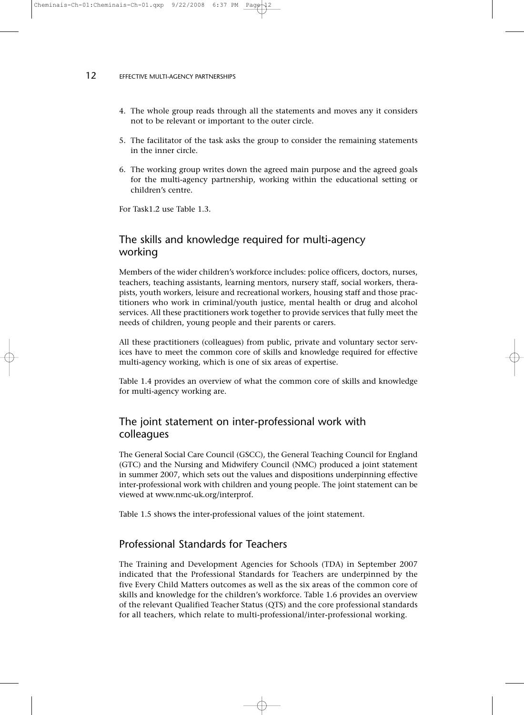- 4. The whole group reads through all the statements and moves any it considers not to be relevant or important to the outer circle.
- 5. The facilitator of the task asks the group to consider the remaining statements in the inner circle.
- 6. The working group writes down the agreed main purpose and the agreed goals for the multi-agency partnership, working within the educational setting or children's centre.

For Task1.2 use Table 1.3.

## The skills and knowledge required for multi-agency working

Members of the wider children's workforce includes: police officers, doctors, nurses, teachers, teaching assistants, learning mentors, nursery staff, social workers, therapists, youth workers, leisure and recreational workers, housing staff and those practitioners who work in criminal/youth justice, mental health or drug and alcohol services. All these practitioners work together to provide services that fully meet the needs of children, young people and their parents or carers.

All these practitioners (colleagues) from public, private and voluntary sector services have to meet the common core of skills and knowledge required for effective multi-agency working, which is one of six areas of expertise.

Table 1.4 provides an overview of what the common core of skills and knowledge for multi-agency working are.

## The joint statement on inter-professional work with colleagues

The General Social Care Council (GSCC), the General Teaching Council for England (GTC) and the Nursing and Midwifery Council (NMC) produced a joint statement in summer 2007, which sets out the values and dispositions underpinning effective inter-professional work with children and young people. The joint statement can be viewed at www.nmc-uk.org/interprof.

Table 1.5 shows the inter-professional values of the joint statement.

## Professional Standards for Teachers

The Training and Development Agencies for Schools (TDA) in September 2007 indicated that the Professional Standards for Teachers are underpinned by the five Every Child Matters outcomes as well as the six areas of the common core of skills and knowledge for the children's workforce. Table 1.6 provides an overview of the relevant Qualified Teacher Status (QTS) and the core professional standards for all teachers, which relate to multi-professional/inter-professional working.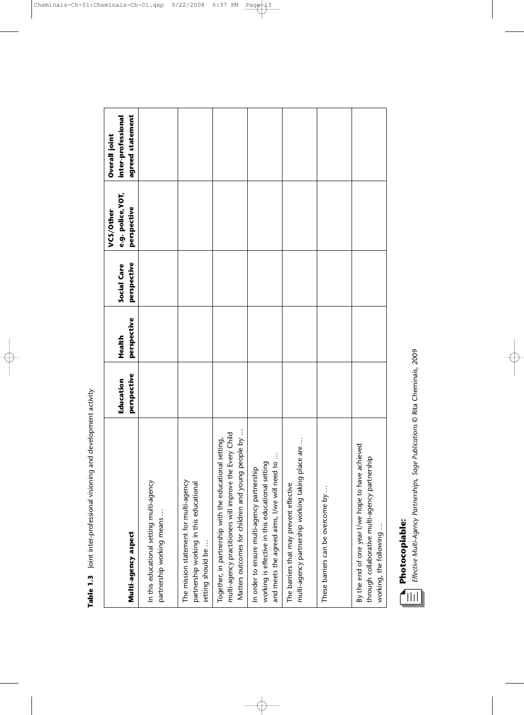Table 1.3 Joint inter-professional visioning and development activity **ble 1.3** Joint inter-professional visioning and development activity

 $\overline{\varphi}$ 

| Multi-agency aspect                                                                                                                                                        | perspective<br>Education | perspective<br>Health | perspective<br>Social Care | e.g. police, YOT,<br>perspective<br>VCS/Other | agreed statement<br>inter-professional<br><b>Overall joint</b> |
|----------------------------------------------------------------------------------------------------------------------------------------------------------------------------|--------------------------|-----------------------|----------------------------|-----------------------------------------------|----------------------------------------------------------------|
| In this educational setting multi-agency<br>partnership working means                                                                                                      |                          |                       |                            |                                               |                                                                |
| The mission statement for multi-agency<br>partnership working in this educational<br>setting should be                                                                     |                          |                       |                            |                                               |                                                                |
| le by<br>multi-agency practitioners will improve the Every Child<br>Together, in partnership with the educational setting,<br>Matters outcomes for children and young peop |                          |                       |                            |                                               |                                                                |
| and meets the agreed aims, I/we will need to<br>working is effective in this educational setting<br>In order to ensure multi-agency partnership                            |                          |                       |                            |                                               |                                                                |
| multi-agency partnership working taking place are<br>The barriers that may prevent effective                                                                               |                          |                       |                            |                                               |                                                                |
| These barriers can be overcome by                                                                                                                                          |                          |                       |                            |                                               |                                                                |
| By the end of one year I/we hope to have achieved<br>through collaborative multi-agency partnership<br>working, the following                                              |                          |                       |                            |                                               |                                                                |

 $\overline{\bigoplus}$ 

## **P h o t o c o pia ble:**

*Effective Multi-A gency Partnerships, Sage Publications* © Rita Cheminais, 2009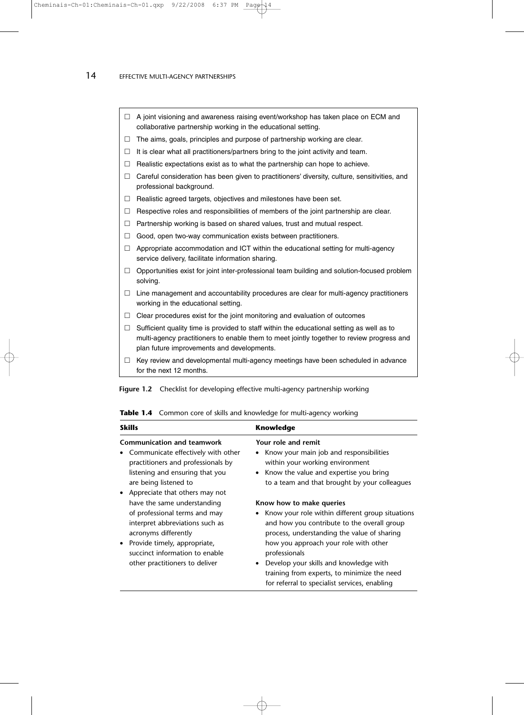- $\Box$  A joint visioning and awareness raising event/workshop has taken place on ECM and collaborative partnership working in the educational setting.
- $\Box$  The aims, goals, principles and purpose of partnership working are clear.
- $\Box$  It is clear what all practitioners/partners bring to the joint activity and team.
- $\Box$  Realistic expectations exist as to what the partnership can hope to achieve.
- Careful consideration has been given to practitioners' diversity, culture, sensitivities, and professional background.
- $\Box$  Realistic agreed targets, objectives and milestones have been set.
- $\Box$  Respective roles and responsibilities of members of the joint partnership are clear.
- $\Box$  Partnership working is based on shared values, trust and mutual respect.
- $\Box$  Good, open two-way communication exists between practitioners.
- $\Box$  Appropriate accommodation and ICT within the educational setting for multi-agency service delivery, facilitate information sharing.
- $\Box$  Opportunities exist for joint inter-professional team building and solution-focused problem solving.
- $\Box$  Line management and accountability procedures are clear for multi-agency practitioners working in the educational setting.
- $\Box$  Clear procedures exist for the joint monitoring and evaluation of outcomes
- $\Box$  Sufficient quality time is provided to staff within the educational setting as well as to multi-agency practitioners to enable them to meet jointly together to review progress and plan future improvements and developments.
- $\Box$  Key review and developmental multi-agency meetings have been scheduled in advance for the next 12 months.

#### **Figure 1.2** Checklist for developing effective multi-agency partnership working

|  |  |  | <b>Table 1.4</b> Common core of skills and knowledge for multi-agency working |  |
|--|--|--|-------------------------------------------------------------------------------|--|
|  |  |  |                                                                               |  |

| <b>Skills</b>                                                                                                                                                                                                                            | <b>Knowledge</b>                                                                                                                                                                                                                                                                                         |  |  |
|------------------------------------------------------------------------------------------------------------------------------------------------------------------------------------------------------------------------------------------|----------------------------------------------------------------------------------------------------------------------------------------------------------------------------------------------------------------------------------------------------------------------------------------------------------|--|--|
| <b>Communication and teamwork</b>                                                                                                                                                                                                        | Your role and remit                                                                                                                                                                                                                                                                                      |  |  |
| • Communicate effectively with other<br>practitioners and professionals by<br>listening and ensuring that you<br>are being listened to<br>Appreciate that others may not<br>$\bullet$                                                    | Know your main job and responsibilities<br>$\bullet$<br>within your working environment<br>Know the value and expertise you bring<br>$\bullet$<br>to a team and that brought by your colleagues                                                                                                          |  |  |
| have the same understanding<br>of professional terms and may<br>interpret abbreviations such as<br>acronyms differently<br>Provide timely, appropriate,<br>$\bullet$<br>succinct information to enable<br>other practitioners to deliver | Know how to make queries<br>Know your role within different group situations<br>$\bullet$<br>and how you contribute to the overall group<br>process, understanding the value of sharing<br>how you approach your role with other<br>professionals<br>Develop your skills and knowledge with<br>$\bullet$ |  |  |
|                                                                                                                                                                                                                                          | training from experts, to minimize the need<br>for referral to specialist services, enabling                                                                                                                                                                                                             |  |  |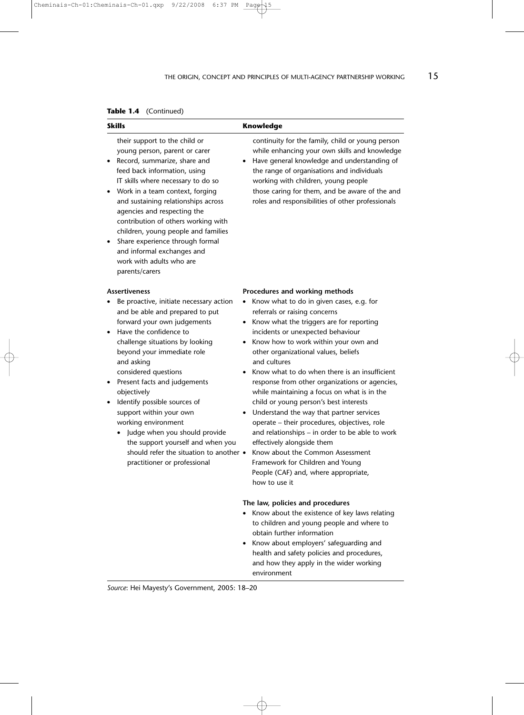| <b>Skills</b>                                                                                                                                                                                                                                                                                                                                                                                                                                                                                                                                                     | <b>Knowledge</b>                                                                                                                                                                                                                                                                                                                                                                                                                                                                                                                                                                                                                                                                                                                                                                                                                   |
|-------------------------------------------------------------------------------------------------------------------------------------------------------------------------------------------------------------------------------------------------------------------------------------------------------------------------------------------------------------------------------------------------------------------------------------------------------------------------------------------------------------------------------------------------------------------|------------------------------------------------------------------------------------------------------------------------------------------------------------------------------------------------------------------------------------------------------------------------------------------------------------------------------------------------------------------------------------------------------------------------------------------------------------------------------------------------------------------------------------------------------------------------------------------------------------------------------------------------------------------------------------------------------------------------------------------------------------------------------------------------------------------------------------|
| their support to the child or<br>young person, parent or carer<br>Record, summarize, share and<br>feed back information, using<br>IT skills where necessary to do so<br>Work in a team context, forging<br>and sustaining relationships across<br>agencies and respecting the<br>contribution of others working with<br>children, young people and families<br>Share experience through formal<br>and informal exchanges and<br>work with adults who are<br>parents/carers                                                                                        | continuity for the family, child or young person<br>while enhancing your own skills and knowledge<br>Have general knowledge and understanding of<br>the range of organisations and individuals<br>working with children, young people<br>those caring for them, and be aware of the and<br>roles and responsibilities of other professionals                                                                                                                                                                                                                                                                                                                                                                                                                                                                                       |
| <b>Assertiveness</b><br>Be proactive, initiate necessary action<br>and be able and prepared to put<br>forward your own judgements<br>Have the confidence to<br>challenge situations by looking<br>beyond your immediate role<br>and asking<br>considered questions<br>Present facts and judgements<br>objectively<br>Identify possible sources of<br>support within your own<br>working environment<br>Judge when you should provide<br>$\bullet$<br>the support yourself and when you<br>should refer the situation to another •<br>practitioner or professional | Procedures and working methods<br>Know what to do in given cases, e.g. for<br>$\bullet$<br>referrals or raising concerns<br>• Know what the triggers are for reporting<br>incidents or unexpected behaviour<br>Know how to work within your own and<br>other organizational values, beliefs<br>and cultures<br>Know what to do when there is an insufficient<br>response from other organizations or agencies,<br>while maintaining a focus on what is in the<br>child or young person's best interests<br>Understand the way that partner services<br>$\bullet$<br>operate - their procedures, objectives, role<br>and relationships - in order to be able to work<br>effectively alongside them<br>Know about the Common Assessment<br>Framework for Children and Young<br>People (CAF) and, where appropriate,<br>how to use it |
|                                                                                                                                                                                                                                                                                                                                                                                                                                                                                                                                                                   | The law, policies and procedures<br>Know about the existence of key laws relating<br>to children and young people and where to<br>obtain further information<br>Know about employers' safeguarding and<br>$\bullet$<br>health and safety policies and procedures,<br>and how they apply in the wider working<br>environment                                                                                                                                                                                                                                                                                                                                                                                                                                                                                                        |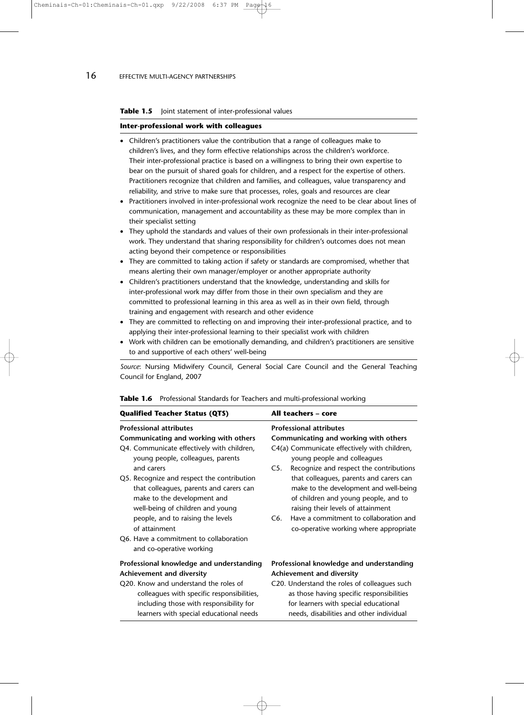#### **Table 1.5** Joint statement of inter-professional values

#### **Inter-professional work with colleagues**

- Children's practitioners value the contribution that a range of colleagues make to children's lives, and they form effective relationships across the children's workforce. Their inter-professional practice is based on a willingness to bring their own expertise to bear on the pursuit of shared goals for children, and a respect for the expertise of others. Practitioners recognize that children and families, and colleagues, value transparency and reliability, and strive to make sure that processes, roles, goals and resources are clear
- Practitioners involved in inter-professional work recognize the need to be clear about lines of communication, management and accountability as these may be more complex than in their specialist setting
- They uphold the standards and values of their own professionals in their inter-professional work. They understand that sharing responsibility for children's outcomes does not mean acting beyond their competence or responsibilities
- They are committed to taking action if safety or standards are compromised, whether that means alerting their own manager/employer or another appropriate authority
- Children's practitioners understand that the knowledge, understanding and skills for inter-professional work may differ from those in their own specialism and they are committed to professional learning in this area as well as in their own field, through training and engagement with research and other evidence
- They are committed to reflecting on and improving their inter-professional practice, and to applying their inter-professional learning to their specialist work with children
- Work with children can be emotionally demanding, and children's practitioners are sensitive to and supportive of each others' well-being

*Source*: Nursing Midwifery Council, General Social Care Council and the General Teaching Council for England, 2007

|  | Table 1.6 Professional Standards for Teachers and multi-professional working |  |  |
|--|------------------------------------------------------------------------------|--|--|
|  |                                                                              |  |  |

| <b>Qualified Teacher Status (QTS)</b>                                                                                                                                                         | All teachers - core                                                                                                                                                                                                           |  |  |  |
|-----------------------------------------------------------------------------------------------------------------------------------------------------------------------------------------------|-------------------------------------------------------------------------------------------------------------------------------------------------------------------------------------------------------------------------------|--|--|--|
| <b>Professional attributes</b><br>Communicating and working with others                                                                                                                       | <b>Professional attributes</b><br>Communicating and working with others                                                                                                                                                       |  |  |  |
| Q4. Communicate effectively with children,<br>young people, colleagues, parents<br>and carers                                                                                                 | C4(a) Communicate effectively with children,<br>young people and colleagues<br>C5.<br>Recognize and respect the contributions                                                                                                 |  |  |  |
| Q5. Recognize and respect the contribution<br>that colleagues, parents and carers can<br>make to the development and<br>well-being of children and young<br>people, and to raising the levels | that colleagues, parents and carers can<br>make to the development and well-being<br>of children and young people, and to<br>raising their levels of attainment<br>Have a commitment to collaboration and<br>C <sub>6</sub> . |  |  |  |
| of attainment<br>Q6. Have a commitment to collaboration<br>and co-operative working                                                                                                           | co-operative working where appropriate                                                                                                                                                                                        |  |  |  |
| Professional knowledge and understanding<br>Achievement and diversity                                                                                                                         | Professional knowledge and understanding<br>Achievement and diversity                                                                                                                                                         |  |  |  |
| Q20. Know and understand the roles of<br>colleagues with specific responsibilities,<br>including those with responsibility for<br>learners with special educational needs                     | C20. Understand the roles of colleagues such<br>as those having specific responsibilities<br>for learners with special educational<br>needs, disabilities and other individual                                                |  |  |  |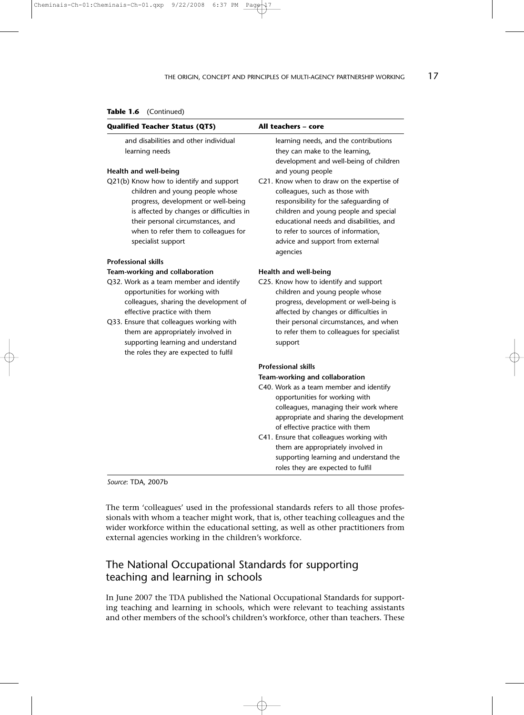| <b>Qualified Teacher Status (QTS)</b>                                                                                                                                                                                                                                                                                                                  | All teachers - core                                                                                                                                                                                                                                                                                                                                                                                 |
|--------------------------------------------------------------------------------------------------------------------------------------------------------------------------------------------------------------------------------------------------------------------------------------------------------------------------------------------------------|-----------------------------------------------------------------------------------------------------------------------------------------------------------------------------------------------------------------------------------------------------------------------------------------------------------------------------------------------------------------------------------------------------|
| and disabilities and other individual<br>learning needs<br>Health and well-being                                                                                                                                                                                                                                                                       | learning needs, and the contributions<br>they can make to the learning,<br>development and well-being of children<br>and young people                                                                                                                                                                                                                                                               |
| Q21(b) Know how to identify and support<br>children and young people whose<br>progress, development or well-being<br>is affected by changes or difficulties in<br>their personal circumstances, and<br>when to refer them to colleagues for<br>specialist support                                                                                      | C21. Know when to draw on the expertise of<br>colleagues, such as those with<br>responsibility for the safeguarding of<br>children and young people and special<br>educational needs and disabilities, and<br>to refer to sources of information,<br>advice and support from external<br>agencies                                                                                                   |
| <b>Professional skills</b>                                                                                                                                                                                                                                                                                                                             |                                                                                                                                                                                                                                                                                                                                                                                                     |
| Team-working and collaboration<br>Q32. Work as a team member and identify<br>opportunities for working with<br>colleagues, sharing the development of<br>effective practice with them<br>Q33. Ensure that colleagues working with<br>them are appropriately involved in<br>supporting learning and understand<br>the roles they are expected to fulfil | Health and well-being<br>C25. Know how to identify and support<br>children and young people whose<br>progress, development or well-being is<br>affected by changes or difficulties in<br>their personal circumstances, and when<br>to refer them to colleagues for specialist<br>support                                                                                                            |
|                                                                                                                                                                                                                                                                                                                                                        | <b>Professional skills</b>                                                                                                                                                                                                                                                                                                                                                                          |
|                                                                                                                                                                                                                                                                                                                                                        | Team-working and collaboration<br>C40. Work as a team member and identify<br>opportunities for working with<br>colleagues, managing their work where<br>appropriate and sharing the development<br>of effective practice with them<br>C41. Ensure that colleagues working with<br>them are appropriately involved in<br>supporting learning and understand the<br>roles they are expected to fulfil |

*Source*: TDA, 2007b

The term 'colleagues' used in the professional standards refers to all those professionals with whom a teacher might work, that is, other teaching colleagues and the wider workforce within the educational setting, as well as other practitioners from external agencies working in the children's workforce.

## The National Occupational Standards for supporting teaching and learning in schools

In June 2007 the TDA published the National Occupational Standards for supporting teaching and learning in schools, which were relevant to teaching assistants and other members of the school's children's workforce, other than teachers. These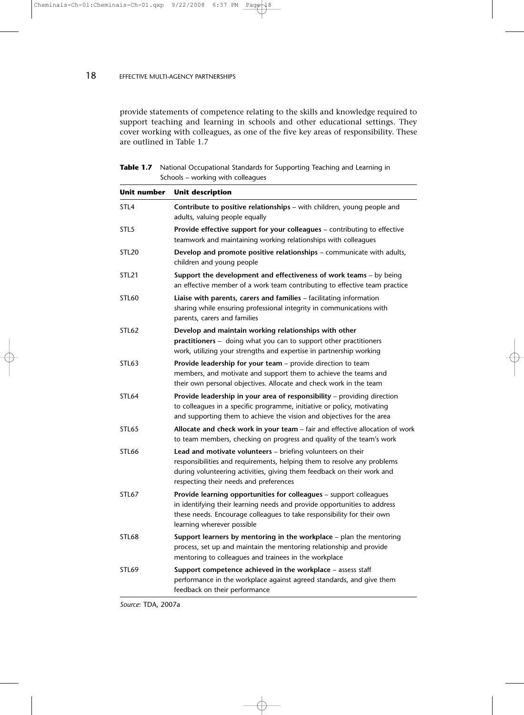provide statements of competence relating to the skills and knowledge required to support teaching and learning in schools and other educational settings. They cover working with colleagues, as one of the five key areas of responsibility. These are outlined in Table 1.7

| Table 1.7 | National Occupational Standards for Supporting Teaching and Learning in |
|-----------|-------------------------------------------------------------------------|
|           | Schools – working with colleagues                                       |

| <b>Unit number</b> | <b>Unit description</b>                                                                                                                                                                                                                                    |
|--------------------|------------------------------------------------------------------------------------------------------------------------------------------------------------------------------------------------------------------------------------------------------------|
| STL4               | Contribute to positive relationships - with children, young people and<br>adults, valuing people equally                                                                                                                                                   |
| STL5               | Provide effective support for your colleagues - contributing to effective<br>teamwork and maintaining working relationships with colleagues                                                                                                                |
| STL <sub>20</sub>  | Develop and promote positive relationships - communicate with adults,<br>children and young people                                                                                                                                                         |
| STL21              | Support the development and effectiveness of work teams - by being<br>an effective member of a work team contributing to effective team practice                                                                                                           |
| STL60              | Liaise with parents, carers and families - facilitating information<br>sharing while ensuring professional integrity in communications with<br>parents, carers and families                                                                                |
| STL62              | Develop and maintain working relationships with other<br>practitioners - doing what you can to support other practitioners<br>work, utilizing your strengths and expertise in partnership working                                                          |
| STL63              | Provide leadership for your team - provide direction to team<br>members, and motivate and support them to achieve the teams and<br>their own personal objectives. Allocate and check work in the team                                                      |
| STL64              | Provide leadership in your area of responsibility - providing direction<br>to colleagues in a specific programme, initiative or policy, motivating<br>and supporting them to achieve the vision and objectives for the area                                |
| STL65              | Allocate and check work in your team - fair and effective allocation of work<br>to team members, checking on progress and quality of the team's work                                                                                                       |
| STL66              | Lead and motivate volunteers - briefing volunteers on their<br>responsibilities and requirements, helping them to resolve any problems<br>during volunteering activities, giving them feedback on their work and<br>respecting their needs and preferences |
| STL67              | Provide learning opportunities for colleagues - support colleagues<br>in identifying their learning needs and provide opportunities to address<br>these needs. Encourage colleagues to take responsibility for their own<br>learning wherever possible     |
| STL68              | Support learners by mentoring in the workplace - plan the mentoring<br>process, set up and maintain the mentoring relationship and provide<br>mentoring to colleagues and trainees in the workplace                                                        |
| STL69              | Support competence achieved in the workplace - assess staff<br>performance in the workplace against agreed standards, and give them<br>feedback on their performance                                                                                       |

*Source*: TDA, 2007a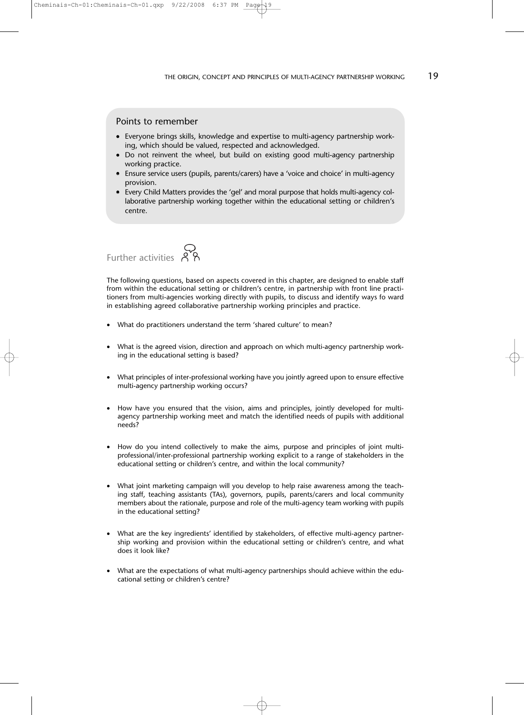#### Points to remember

- Everyone brings skills, knowledge and expertise to multi-agency partnership working, which should be valued, respected and acknowledged.
- Do not reinvent the wheel, but build on existing good multi-agency partnership working practice.
- Ensure service users (pupils, parents/carers) have a 'voice and choice' in multi-agency provision.
- Every Child Matters provides the 'gel' and moral purpose that holds multi-agency collaborative partnership working together within the educational setting or children's centre.



The following questions, based on aspects covered in this chapter, are designed to enable staff from within the educational setting or children's centre, in partnership with front line practitioners from multi-agencies working directly with pupils, to discuss and identify ways fo ward in establishing agreed collaborative partnership working principles and practice.

- What do practitioners understand the term 'shared culture' to mean?
- What is the agreed vision, direction and approach on which multi-agency partnership working in the educational setting is based?
- What principles of inter-professional working have you jointly agreed upon to ensure effective multi-agency partnership working occurs?
- How have you ensured that the vision, aims and principles, jointly developed for multiagency partnership working meet and match the identified needs of pupils with additional needs?
- How do you intend collectively to make the aims, purpose and principles of joint multiprofessional/inter-professional partnership working explicit to a range of stakeholders in the educational setting or children's centre, and within the local community?
- What joint marketing campaign will you develop to help raise awareness among the teaching staff, teaching assistants (TAs), governors, pupils, parents/carers and local community members about the rationale, purpose and role of the multi-agency team working with pupils in the educational setting?
- What are the key ingredients' identified by stakeholders, of effective multi-agency partnership working and provision within the educational setting or children's centre, and what does it look like?
- What are the expectations of what multi-agency partnerships should achieve within the educational setting or children's centre?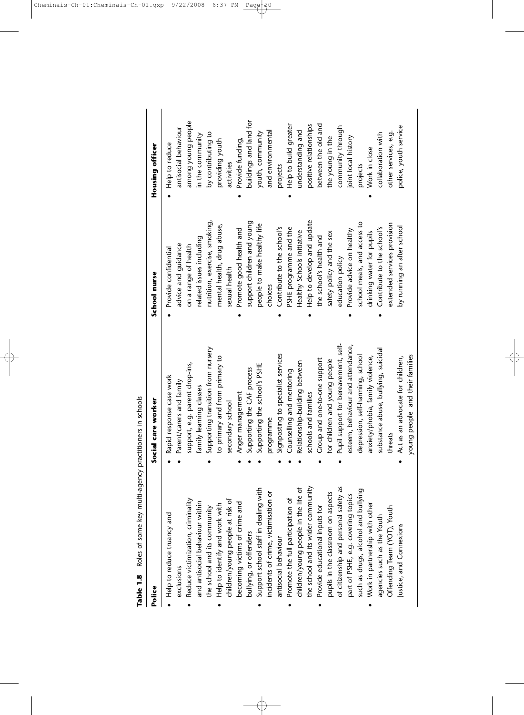| Police                                | Social care worker                   | School nurse                  | Housing officer        |
|---------------------------------------|--------------------------------------|-------------------------------|------------------------|
| Help to reduce truancy and            | Rapid response case work             | Provide confidential          | Help to reduce         |
| exclusions                            | Parent/carers and family             | advice and guidance           | antisocial behaviour   |
| Reduce victimization, criminality     | support, e.g. parent drop-ins,       | on a range of health          | among young people     |
| and antisocial behaviour within       | family learning classes              | related issues including      | in the community       |
| the school and its community          | Supporting transition from nursery   | nutrition, exercise, smoking, | by contributing to     |
| Help to identify and work with        | to primary and from primary to       | mental health, drug abuse,    | providing youth        |
| children/young people at risk of      | secondary school                     | sexual health                 | activities             |
| becoming victims of crime and         | Anger management                     | Promote good health and       | Provide funding,       |
| bullying, or offenders                | Supporting the CAF process           | support children and young    | buildings and land for |
| Support school staff in dealing with  | Supporting the school's PSHE         | people to make healthy life   | youth, community       |
| ncidents of crime, victimisation or   | programme                            | choices                       | and environmental      |
| antisocial behaviour                  | Signposting to specialist services   | Contribute to the school's    | projects               |
| Promote the full participation of     | Counselling and mentoring            | PSHE programme and the        | Help to build greater  |
| children/young people in the life of  | Relationship-building between        | Healthy Schools initiative    | understanding and      |
| the school and its wider community    | schools and families                 | Help to develop and update    | positive relationships |
| Provide educational inputs for        | Group and one-to-one support         | the school's health and       | between the old and    |
| pupils in the classroom on aspects    | for children and young people        | safety policy and the sex     | the young in the       |
| of citizenship and personal safety as | Pupil support for bereavement, self- | education policy              | community through      |
| part of PSHE, e.g. covering topics    | esteem, behaviour and attendance,    | Provide advice on healthy     | joint local history    |
| such as drugs, alcohol and bullying   | depression, self-harming, school     | school meals, and access to   | projects               |
| Work in partnership with other        | anxiety/phobia, family violence,     | drinking water for pupils     | Work in close          |
| agencies such as the Youth            | substance abuse, bullying, suicidal  | Contribute to the school's    | collaboration with     |
| Offending Team (YOT), Youth           | threats                              | extended services provision   | other services, e.g.   |
| Justice, and Connexions               | Act as an advocate for children,     | by running an after school    | police, youth service  |
|                                       | young people and their families      |                               |                        |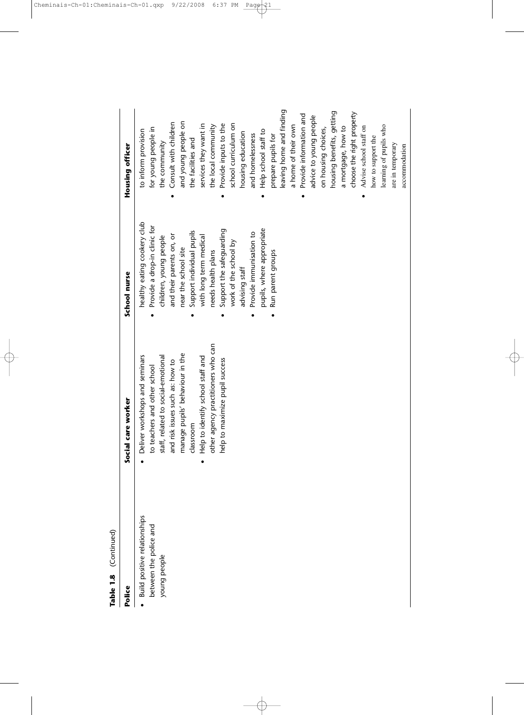| J      |
|--------|
|        |
| ì      |
|        |
|        |
|        |
|        |
|        |
|        |
| Ξ      |
|        |
|        |
| خ<br>: |
|        |
|        |
|        |
|        |
|        |
|        |
|        |
|        |
|        |
|        |
|        |
|        |
| í      |
|        |
|        |
|        |
|        |
| ٦      |
|        |
|        |
|        |
| Ī      |
|        |
|        |

**P** •

| Police                       | Social care worker                 | School nurse                 | Housing officer          |
|------------------------------|------------------------------------|------------------------------|--------------------------|
| Build positive relationships | Deliver workshops and seminars     | healthy eating cookery club  | to inform provision      |
| between the police and       | to teachers and other school       | Provide a drop-in clinic for | for young people in      |
| young people                 | staff, related to social-emotional | children, young people       | the community            |
|                              | and risk issues such as: how to    | and their parents on, or     | Consult with children    |
|                              | manage pupils' behaviour in the    | near the school site         | and young people on      |
|                              | classroom                          | Support individual pupils    | the facilities and       |
|                              | Help to identify school staff and  | with long term medical       | services they want in    |
|                              | other agency practitioners who can | needs health plans           | the local community      |
|                              | help to maximize pupil success     | Support the safeguarding     | Provide inputs to the    |
|                              |                                    | work of the school by        | school curriculum on     |
|                              |                                    | advising staff               | housing education        |
|                              |                                    | Provide immunisation to      | and homelessness         |
|                              |                                    | pupils, where appropriate    | Help school staff to     |
|                              |                                    | Run parent groups            | prepare pupils for       |
|                              |                                    |                              | leaving home and finding |
|                              |                                    |                              | a home of their own      |
|                              |                                    |                              | Provide information and  |

Æ

 Provide information and advice to young people on housing choices, housing benefits, getting a mortgage, how to mortgage, how to choose the right property • Advise school staff on Advise school staff on how to support the learning of pupils who are in temporary accom modation

advice to young people<br>on housing choices,<br>housing benefits, getting

choose the right property

learning of pupils who how to support the

are in temporary